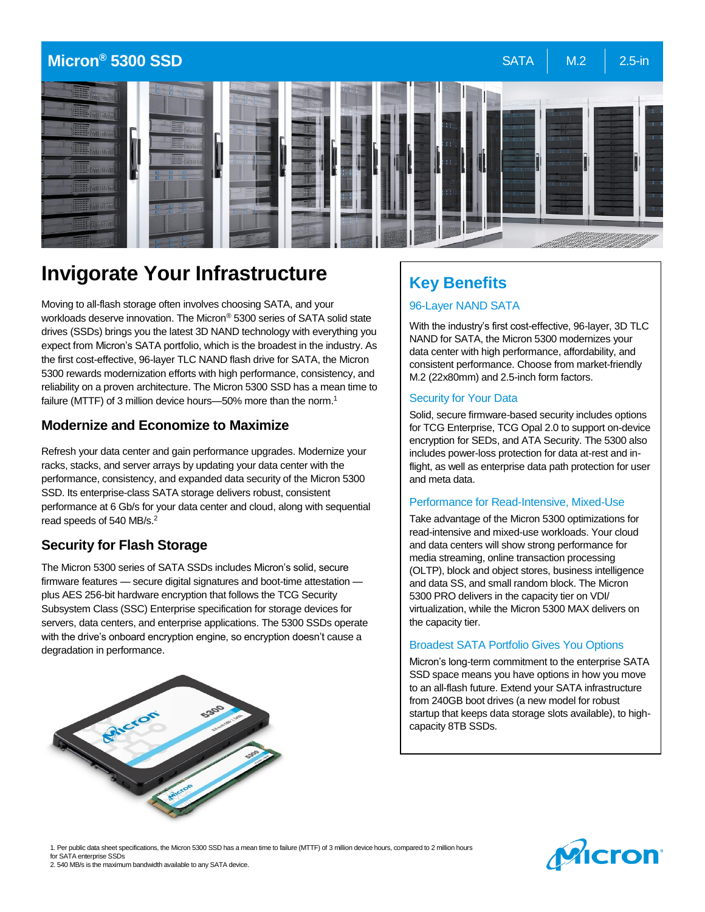

# **Invigorate Your Infrastructure**

Moving to all-flash storage often involves choosing SATA, and your workloads deserve innovation. The Micron® 5300 series of SATA solid state drives (SSDs) brings you the latest 3D NAND technology with everything you expect from Micron's SATA portfolio, which is the broadest in the industry. As the first cost-effective, 96-layer TLC NAND flash drive for SATA, the Micron 5300 rewards modernization efforts with high performance, consistency, and reliability on a proven architecture. The Micron 5300 SSD has a mean time to failure (MTTF) of 3 million device hours—50% more than the norm.<sup>1</sup>

### **Modernize and Economize to Maximize**

Refresh your data center and gain performance upgrades. Modernize your racks, stacks, and server arrays by updating your data center with the performance, consistency, and expanded data security of the Micron 5300 SSD. Its enterprise-class SATA storage delivers robust, consistent performance at 6 Gb/s for your data center and cloud, along with sequential read speeds of 540 MB/s.<sup>2</sup>

# **Security for Flash Storage**

The Micron 5300 series of SATA SSDs includes Micron's solid, secure firmware features — secure digital signatures and boot-time attestation plus AES 256-bit hardware encryption that follows the TCG Security Subsystem Class (SSC) Enterprise specification for storage devices for servers, data centers, and enterprise applications. The 5300 SSDs operate with the drive's onboard encryption engine, so encryption doesn't cause a degradation in performance.



# **Key Benefits**

#### 96-Layer NAND SATA

With the industry's first cost-effective, 96-layer, 3D TLC NAND for SATA, the Micron 5300 modernizes your data center with high performance, affordability, and consistent performance. Choose from market-friendly M.2 (22x80mm) and 2.5-inch form factors.

#### Security for Your Data

Solid, secure firmware-based security includes options for TCG Enterprise, TCG Opal 2.0 to support on-device encryption for SEDs, and ATA Security. The 5300 also includes power-loss protection for data at-rest and inflight, as well as enterprise data path protection for user and meta data.

#### Performance for Read-Intensive, Mixed-Use

Take advantage of the Micron 5300 optimizations for read-intensive and mixed-use workloads. Your cloud and data centers will show strong performance for media streaming, online transaction processing (OLTP), block and object stores, business intelligence and data SS, and small random block. The Micron 5300 PRO delivers in the capacity tier on VDI/ virtualization, while the Micron 5300 MAX delivers on the capacity tier.

#### Broadest SATA Portfolio Gives You Options

Micron's long-term commitment to the enterprise SATA SSD space means you have options in how you move to an all-flash future. Extend your SATA infrastructure from 240GB boot drives (a new model for robust startup that keeps data storage slots available), to highcapacity 8TB SSDs.

1. Per public data sheet specifications, the Micron 5300 SSD has a mean time to failure (MTTF) of 3 million device hours, compared to 2 million hours for SATA enterprise SSDs 2. 540 MB/s is the maximum bandwidth available to any SATA device.

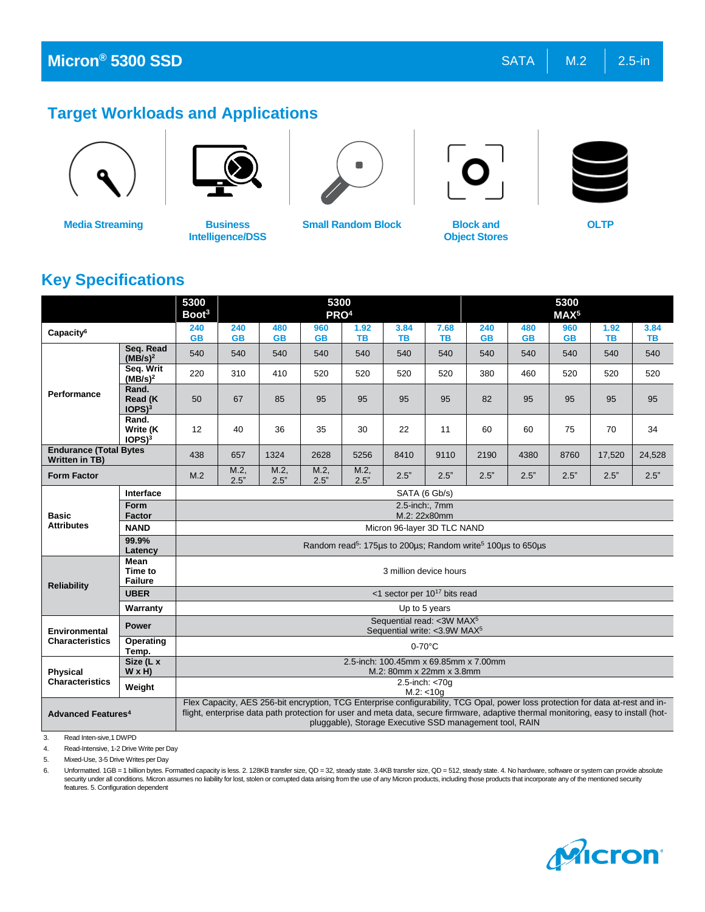# **Target Workloads and Applications**



**Media Streaming Business** 



**Intelligence/DSS**



**Small Random Block Block and** 



**Object Stores**



**OLTP**

# **Key Specifications**

|                                                        |                                        | 5300<br>Boot <sup>3</sup>                                                          |                  |                                                                                                                                                                                                                                                                                                                                   | 5300<br>PRO <sup>4</sup> |                   |                        |                                                                                         |                  |                  | 5300<br>MAX <sup>5</sup> |                   |                   |
|--------------------------------------------------------|----------------------------------------|------------------------------------------------------------------------------------|------------------|-----------------------------------------------------------------------------------------------------------------------------------------------------------------------------------------------------------------------------------------------------------------------------------------------------------------------------------|--------------------------|-------------------|------------------------|-----------------------------------------------------------------------------------------|------------------|------------------|--------------------------|-------------------|-------------------|
| Capacity <sup>6</sup>                                  |                                        | 240<br><b>GB</b>                                                                   | 240<br><b>GB</b> | 480<br><b>GB</b>                                                                                                                                                                                                                                                                                                                  | 960<br><b>GB</b>         | 1.92<br><b>TB</b> | 3.84<br><b>TB</b>      | 7.68<br><b>TB</b>                                                                       | 240<br><b>GB</b> | 480<br><b>GB</b> | 960<br><b>GB</b>         | 1.92<br><b>TB</b> | 3.84<br><b>TB</b> |
| Performance                                            | Seg. Read<br>(MB/s) <sup>2</sup>       | 540                                                                                | 540              | 540                                                                                                                                                                                                                                                                                                                               | 540                      | 540               | 540                    | 540                                                                                     | 540              | 540              | 540                      | 540               | 540               |
|                                                        | Seq. Writ<br>(MB/s) <sup>2</sup>       | 220                                                                                | 310              | 410                                                                                                                                                                                                                                                                                                                               | 520                      | 520               | 520                    | 520                                                                                     | 380              | 460              | 520                      | 520               | 520               |
|                                                        | Rand.<br>Read (K<br>IOPS) <sup>3</sup> | 50                                                                                 | 67               | 85                                                                                                                                                                                                                                                                                                                                | 95                       | 95                | 95                     | 95                                                                                      | 82               | 95               | 95                       | 95                | 95                |
|                                                        | Rand.<br>Write (K<br>$IOPS)^3$         | 12                                                                                 | 40               | 36                                                                                                                                                                                                                                                                                                                                | 35                       | 30                | 22                     | 11                                                                                      | 60               | 60               | 75                       | 70                | 34                |
| <b>Endurance (Total Bytes</b><br><b>Written in TB)</b> |                                        | 438                                                                                | 657              | 1324                                                                                                                                                                                                                                                                                                                              | 2628                     | 5256              | 8410                   | 9110                                                                                    | 2190             | 4380             | 8760                     | 17,520            | 24,528            |
| <b>Form Factor</b>                                     |                                        | M.2                                                                                | M.2<br>2.5"      | M.2<br>2.5"                                                                                                                                                                                                                                                                                                                       | M.2<br>2.5"              | M.2<br>2.5"       | 2.5"                   | 2.5"                                                                                    | 2.5"             | 2.5"             | 2.5"                     | 2.5"              | 2.5"              |
| <b>Basic</b><br><b>Attributes</b>                      | Interface                              | SATA (6 Gb/s)                                                                      |                  |                                                                                                                                                                                                                                                                                                                                   |                          |                   |                        |                                                                                         |                  |                  |                          |                   |                   |
|                                                        | Form<br><b>Factor</b>                  | 2.5-inch:, 7mm<br>M.2: 22x80mm                                                     |                  |                                                                                                                                                                                                                                                                                                                                   |                          |                   |                        |                                                                                         |                  |                  |                          |                   |                   |
|                                                        | <b>NAND</b>                            | Micron 96-layer 3D TLC NAND                                                        |                  |                                                                                                                                                                                                                                                                                                                                   |                          |                   |                        |                                                                                         |                  |                  |                          |                   |                   |
|                                                        | 99.9%<br>Latency                       |                                                                                    |                  |                                                                                                                                                                                                                                                                                                                                   |                          |                   |                        |                                                                                         |                  |                  |                          |                   |                   |
| <b>Reliability</b>                                     | Mean<br>Time to<br><b>Failure</b>      |                                                                                    |                  |                                                                                                                                                                                                                                                                                                                                   |                          |                   | 3 million device hours | Random read <sup>5</sup> : 175 µs to 200 µs; Random write <sup>5</sup> 100 µs to 650 µs |                  |                  |                          |                   |                   |
|                                                        | <b>UBER</b>                            | <1 sector per $10^{17}$ bits read                                                  |                  |                                                                                                                                                                                                                                                                                                                                   |                          |                   |                        |                                                                                         |                  |                  |                          |                   |                   |
|                                                        | Warranty                               |                                                                                    |                  |                                                                                                                                                                                                                                                                                                                                   |                          |                   |                        | Up to 5 years                                                                           |                  |                  |                          |                   |                   |
| Environmental<br><b>Characteristics</b>                | <b>Power</b>                           | Sequential read: < 3W MAX <sup>5</sup><br>Sequential write: <3.9W MAX <sup>5</sup> |                  |                                                                                                                                                                                                                                                                                                                                   |                          |                   |                        |                                                                                         |                  |                  |                          |                   |                   |
|                                                        | Operating<br>Temp.                     | $0-70$ °C                                                                          |                  |                                                                                                                                                                                                                                                                                                                                   |                          |                   |                        |                                                                                         |                  |                  |                          |                   |                   |
| <b>Physical</b>                                        | Size (L x<br>$W \times H$              | 2.5-inch: 100.45mm x 69.85mm x 7.00mm<br>M.2: 80mm x 22mm x 3.8mm                  |                  |                                                                                                                                                                                                                                                                                                                                   |                          |                   |                        |                                                                                         |                  |                  |                          |                   |                   |
| <b>Characteristics</b>                                 | Weight                                 | 2.5-inch: <70g<br>M.2: < 10g                                                       |                  |                                                                                                                                                                                                                                                                                                                                   |                          |                   |                        |                                                                                         |                  |                  |                          |                   |                   |
| <b>Advanced Features4</b>                              |                                        |                                                                                    |                  | Flex Capacity, AES 256-bit encryption, TCG Enterprise configurability, TCG Opal, power loss protection for data at-rest and in-<br>flight, enterprise data path protection for user and meta data, secure firmware, adaptive thermal monitoring, easy to install (hot-<br>pluggable), Storage Executive SSD management tool, RAIN |                          |                   |                        |                                                                                         |                  |                  |                          |                   |                   |

3. Read Inten-sive,1 DWPD

4. Read-Intensive, 1-2 Drive Write per Day

5. Mixed-Use, 3-5 Drive Writes per Day

6. Unformatted. 1GB = 1 billion bytes. Formatted capacity is less. 2. 128KB transfer size, QD = 32, steady state. 3.4KB transfer size, QD = 512, steady state. 4. No hardware, software or system can provide absolute<br>securit features. 5. Configuration dependent